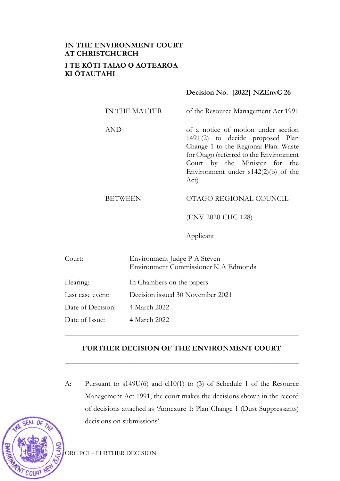# **IN THE ENVIRONMENT COURT AT CHRISTCHURCH I TE KŌTI TAIAO O AOTEAROA KI ŌTAUTAHI**

## **Decision No. [2022] NZEnvC 26**

| IN THE MATTER | of the Resource Management Act 1991                                                                                                                                                                                                        |
|---------------|--------------------------------------------------------------------------------------------------------------------------------------------------------------------------------------------------------------------------------------------|
| AND           | of a notice of motion under section<br>149T(2) to decide proposed Plan<br>Change 1 to the Regional Plan: Waste<br>for Otago (referred to the Environment<br>Court by the Minister for the<br>Environment under $s142(2)(b)$ of the<br>Act) |

# BETWEEN OTAGO REGIONAL COUNCIL

(ENV-2020-CHC-128)

Applicant

| Court:            | Environment Judge P A Steven<br>Environment Commissioner K A Edmonds |
|-------------------|----------------------------------------------------------------------|
| Hearing:          | In Chambers on the papers                                            |
| Last case event:  | Decision issued 30 November 2021                                     |
| Date of Decision: | 4 March 2022                                                         |
| Date of Issue:    | 4 March 2022                                                         |

## **FURTHER DECISION OF THE ENVIRONMENT COURT**

**\_\_\_\_\_\_\_\_\_\_\_\_\_\_\_\_\_\_\_\_\_\_\_\_\_\_\_\_\_\_\_\_\_\_\_\_\_\_\_\_\_\_\_\_\_\_\_\_\_\_\_\_\_\_\_\_\_\_\_\_\_\_\_**

\_\_\_\_\_\_\_\_\_\_\_\_\_\_\_\_\_\_\_\_\_\_\_\_\_\_\_\_\_\_\_\_\_\_\_\_\_\_\_\_\_\_\_\_\_\_\_\_\_\_\_\_\_\_\_\_\_\_\_\_\_\_\_

A: Pursuant to s149U(6) and cl10(1) to (3) of Schedule 1 of the Resource Management Act 1991, the court makes the decisions shown in the record of decisions attached as 'Annexure 1: Plan Change 1 (Dust Suppressants) decisions on submissions'.

ORC PC1 – FURTHER DECISION

COURT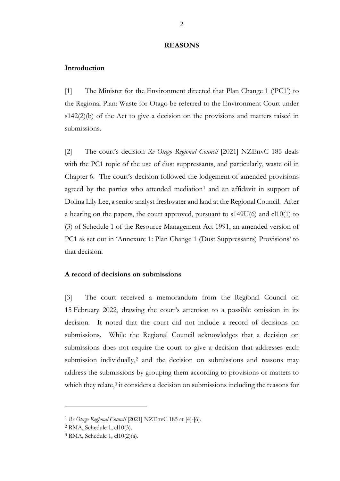#### **REASONS**

#### **Introduction**

[1] The Minister for the Environment directed that Plan Change 1 ('PC1') to the Regional Plan: Waste for Otago be referred to the Environment Court under s142(2)(b) of the Act to give a decision on the provisions and matters raised in submissions.

[2] The court's decision *Re Otago Regional Council* [2021] NZEnvC 185 deals with the PC1 topic of the use of dust suppressants, and particularly, waste oil in Chapter 6. The court's decision followed the lodgement of amended provisions agreed by the parties who attended mediation<sup>[1](#page-1-0)</sup> and an affidavit in support of Dolina Lily Lee, a senior analyst freshwater and land at the Regional Council. After a hearing on the papers, the court approved, pursuant to s149U(6) and cl10(1) to (3) of Schedule 1 of the Resource Management Act 1991, an amended version of PC1 as set out in 'Annexure 1: Plan Change 1 (Dust Suppressants) Provisions' to that decision.

### **A record of decisions on submissions**

[3] The court received a memorandum from the Regional Council on 15 February 2022, drawing the court's attention to a possible omission in its decision. It noted that the court did not include a record of decisions on submissions. While the Regional Council acknowledges that a decision on submissions does not require the court to give a decision that addresses each submission individually,<sup>[2](#page-1-1)</sup> and the decision on submissions and reasons may address the submissions by grouping them according to provisions or matters to which they relate,<sup>[3](#page-1-2)</sup> it considers a decision on submissions including the reasons for

<span id="page-1-0"></span><sup>1</sup> *Re Otago Regional Council* [2021] NZEnvC 185 at [4]-[6].

<span id="page-1-1"></span><sup>2</sup> RMA, Schedule 1, cl10(3).

<span id="page-1-2"></span><sup>3</sup> RMA, Schedule 1, cl10(2)(a).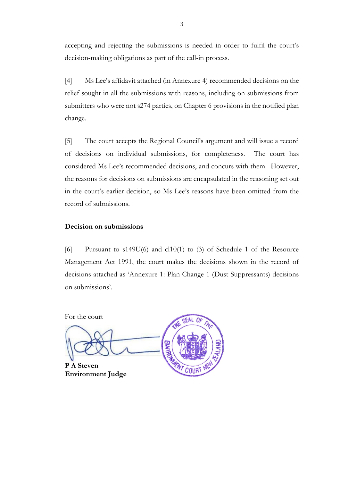accepting and rejecting the submissions is needed in order to fulfil the court's decision-making obligations as part of the call-in process.

[4] Ms Lee's affidavit attached (in Annexure 4) recommended decisions on the relief sought in all the submissions with reasons, including on submissions from submitters who were not s274 parties, on Chapter 6 provisions in the notified plan change.

[5] The court accepts the Regional Council's argument and will issue a record of decisions on individual submissions, for completeness. The court has considered Ms Lee's recommended decisions, and concurs with them. However, the reasons for decisions on submissions are encapsulated in the reasoning set out in the court's earlier decision, so Ms Lee's reasons have been omitted from the record of submissions.

#### **Decision on submissions**

[6] Pursuant to s149U(6) and cl10(1) to (3) of Schedule 1 of the Resource Management Act 1991, the court makes the decisions shown in the record of decisions attached as 'Annexure 1: Plan Change 1 (Dust Suppressants) decisions on submissions'.

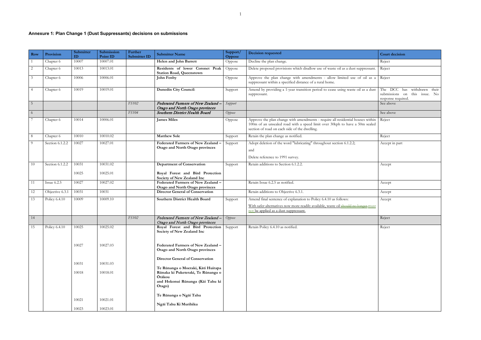# **Annexure 1: Plan Change 1 (Dust Suppressants) decisions on submissions**

| <b>Row</b>      | Provision          | Submitter<br>ID | Submission<br>Point ID | Further<br><b>Submitter ID</b> | <b>Submitter Name</b>                                                                      | Support/<br>Oppose | <b>Decision requested</b>                                                                                                                                                                                       | <b>Court decision</b>                           |
|-----------------|--------------------|-----------------|------------------------|--------------------------------|--------------------------------------------------------------------------------------------|--------------------|-----------------------------------------------------------------------------------------------------------------------------------------------------------------------------------------------------------------|-------------------------------------------------|
|                 | Chapter 6          | 10007           | 10007.01               |                                | Helen and John Barrett                                                                     | Oppose             | Decline the plan change.                                                                                                                                                                                        | Reject                                          |
| 2               | Chapter 6          | 10013           | 10013.01               |                                | Residents of lower Coronet Peak<br><b>Station Road, Queenstown</b>                         | Oppose             | Delete proposed provisions which disallow use of waste oil as a dust suppressant.                                                                                                                               | Reject                                          |
| $\mathfrak{Z}$  | Chapter 6          | 10006           | 10006.01               |                                | John Fenby                                                                                 | Oppose             | Approve the plan change with amendments - allow limited use of oil as a<br>suppressant within a specified distance of a rural home.                                                                             | Reject                                          |
| 4               | Chapter 6          | 10019           | 10019.01               |                                | <b>Dunedin City Council:</b>                                                               | Support            | Amend by providing a 1-year transition period to cease using waste oil as a dust<br>suppressant.                                                                                                                | The DCC ha<br>submissions c<br>response require |
| $5\overline{)}$ |                    |                 |                        | FS102                          | Federated Farmers of New Zealand<br>Otago and North Otago provinces                        | Support            |                                                                                                                                                                                                                 | See above                                       |
| 6               |                    |                 |                        | FS104                          | Southern District Health Board                                                             | Oppose             |                                                                                                                                                                                                                 | See above                                       |
|                 | Chapter 6          | 10014           | 10006.01               |                                | <b>James Miles</b>                                                                         | Oppose             | Approve the plan change with amendments - require all residential houses within<br>100m of an unsealed road with a speed limit over 30kph to have a 50m sealed<br>section of road on each side of the dwelling. | Reject                                          |
| 8               | Chapter 6          | 10010           | 10010.02               |                                | <b>Matthew Sole</b>                                                                        | Support            | Retain the plan change as notified.                                                                                                                                                                             | Reject                                          |
| -9              | Section 6.1.2.2    | 10027           | 10027.01               |                                | <b>Federated Farmers of New Zealand</b><br>Otago and North Otago provinces                 | Support            | Adopt deletion of the word "lubricating" throughout section 6.1.2.2;<br>and<br>Delete reference to 1991 survey.                                                                                                 | Accept in part                                  |
| 10              | Section 6.1.2.2    | 10031           | 10031.02               |                                | <b>Department of Conservation</b>                                                          | Support            | Retain additions to Section 6.1.2.2.                                                                                                                                                                            | Accept                                          |
|                 |                    | 10025           | 10025.01               |                                | Royal Forest and Bird Protection                                                           |                    |                                                                                                                                                                                                                 |                                                 |
| 11              | <b>Issue 6.2.5</b> | 10027           | 10027.02               |                                | Society of New Zealand Inc<br>Federated Farmers of New Zealand -                           |                    | Retain Issue 6.2.5 as notified.                                                                                                                                                                                 | Accept                                          |
|                 |                    |                 |                        |                                | Otago and North Otago provinces                                                            |                    |                                                                                                                                                                                                                 |                                                 |
| 12              | Objective 6.3.1    | 10031           | 10031                  |                                | <b>Director General of Conservation</b>                                                    |                    | Retain additions to Objective 6.3.1.                                                                                                                                                                            | Accept                                          |
| 13              | Policy 6.4.10      | 10009           | 10009.10               |                                | <b>Southern District Health Board</b>                                                      | Support            | Amend final sentence of explanation to Policy 6.4.10 as follows:<br>With safer alternatives now more readily available, waste oil should no longer must<br>not be applied as a dust suppressant.                | Accept                                          |
| 14              |                    |                 |                        | FS102                          | Federated Farmers of New Zealand<br>Otago and North Otago provinces                        | Oppose             |                                                                                                                                                                                                                 | Reject                                          |
| 15              | Policy 6.4.10      | 10025           | 10025.02               |                                | Royal Forest and Bird Protection<br>Society of New Zealand Inc                             | Support            | Retain Policy 6.4.10 as notified.                                                                                                                                                                               | Reject                                          |
|                 |                    | 10027           | 10027.03               |                                | Federated Farmers of New Zealand -<br>Otago and North Otago provinces                      |                    |                                                                                                                                                                                                                 |                                                 |
|                 |                    | 10031           | 10031.03               |                                | <b>Director General of Conservation</b><br>Te Rūnanga o Moeraki, Kāti Huirapa              |                    |                                                                                                                                                                                                                 |                                                 |
|                 |                    | 10018           | 10018.01               |                                | Rūnaka ki Puketeraki, Te Rūnanga o<br>Ōtākou<br>and Hokonui Rūnanga (Kāi Tahu ki<br>Otago) |                    |                                                                                                                                                                                                                 |                                                 |
|                 |                    | 10021           | 10021.01               |                                | Te Rūnanga o Ngāi Tahu                                                                     |                    |                                                                                                                                                                                                                 |                                                 |
|                 |                    | 10023           | 10023.01               |                                | Ngāi Tahu Ki Murihiku                                                                      |                    |                                                                                                                                                                                                                 |                                                 |

|                      | <b>Court decision</b>                                                                                                                |
|----------------------|--------------------------------------------------------------------------------------------------------------------------------------|
|                      | Reject                                                                                                                               |
| ressant.             | Reject                                                                                                                               |
| oil as a             | Reject                                                                                                                               |
| s a dust             | The<br>$\overline{DCC}$<br>has withdrawn<br>their<br>submissions<br>this issue.<br>$\rm No$<br>on<br>response required.<br>See above |
|                      | See above                                                                                                                            |
| s within<br>n sealed | Reject                                                                                                                               |
|                      | Reject                                                                                                                               |
|                      | Accept in part                                                                                                                       |
|                      | Accept                                                                                                                               |
|                      | Accept                                                                                                                               |
|                      | Accept                                                                                                                               |
| <u>er must</u>       | Accept                                                                                                                               |
|                      | Reject                                                                                                                               |
|                      | Reject                                                                                                                               |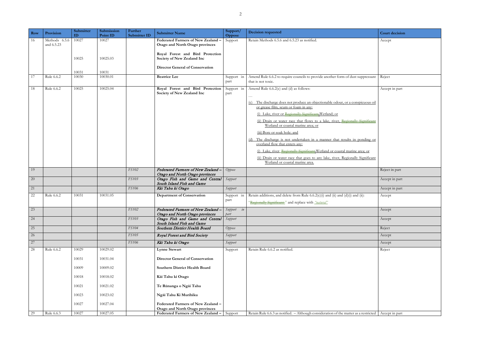| Row | Provision                   | Submitter<br>ID | Submission<br>Point ID | Further<br>Submitter ID | <b>Submitter Name</b>                                                            | Support/<br>Oppose          | <b>Decision requested</b>                                                                                                                                                                                                                                                                                                                                                                                            | <b>Court decision</b> |
|-----|-----------------------------|-----------------|------------------------|-------------------------|----------------------------------------------------------------------------------|-----------------------------|----------------------------------------------------------------------------------------------------------------------------------------------------------------------------------------------------------------------------------------------------------------------------------------------------------------------------------------------------------------------------------------------------------------------|-----------------------|
| 16  | Methods 6.5.6<br>and 6.5.23 | 10027           | 10027                  |                         | Federated Farmers of New Zealand -<br>Otago and North Otago provinces            | Support                     | Retain Methods 6.5.6 and 6.5.23 as notified.                                                                                                                                                                                                                                                                                                                                                                         | Accept                |
|     |                             | 10025           | 10025.03               |                         | Royal Forest and Bird Protection<br>Society of New Zealand Inc                   |                             |                                                                                                                                                                                                                                                                                                                                                                                                                      |                       |
|     |                             | 10031           | 10031                  |                         | <b>Director General of Conservation</b>                                          |                             |                                                                                                                                                                                                                                                                                                                                                                                                                      |                       |
|     |                             |                 |                        |                         | <b>Beatrice</b> Lee                                                              |                             |                                                                                                                                                                                                                                                                                                                                                                                                                      |                       |
| 17  | Rule 6.6.2                  | 10030           | 10030.01               |                         |                                                                                  | Support in<br>part          | Amend Rule 6.6.2 to require councils to provide another form of dust suppressant<br>that is not toxic.                                                                                                                                                                                                                                                                                                               | Reject                |
| 18  | Rule 6.6.2                  | 10025           | 10025.04               |                         | Royal Forest and Bird Protection<br>Society of New Zealand Inc                   | Support in<br>part          | Amend Rule 6.6.2(c) and (d) as follows:                                                                                                                                                                                                                                                                                                                                                                              | Accept in part        |
|     |                             |                 |                        |                         |                                                                                  |                             | (c) The discharge does not produce an objectionable odour, or a conspicuous oil<br>or grease film, scum or foam in any:<br>(i) Lake, river or Regionally Significant Wetland; or<br>(ii) Drain or water race that flows to a lake, river, Regionally Significant<br>Wetland or coastal marine area; or<br>(iii) Bore or soak hole; and<br>(d) The discharge is not undertaken in a manner that results in ponding or |                       |
|     |                             |                 |                        |                         |                                                                                  |                             | overland flow that enters any:<br>(i) Lake, river, Regionally Significant Wetland or coastal marine area; or                                                                                                                                                                                                                                                                                                         |                       |
|     |                             |                 |                        |                         |                                                                                  |                             | (ii) Drain or water race that goes to any lake, river, Regionally Significant<br>Wetland or coastal marine area.                                                                                                                                                                                                                                                                                                     |                       |
| 19  |                             |                 |                        | FS102                   | Federated Farmers of New Zealand<br>Otago and North Otago provinces              | Oppose                      |                                                                                                                                                                                                                                                                                                                                                                                                                      | Reject in part        |
| 20  |                             |                 |                        | FS103                   | Otago Fish and Game and Central<br>South Island Fish and Game                    | Support                     |                                                                                                                                                                                                                                                                                                                                                                                                                      | Accept in part        |
| 21  |                             |                 |                        | FS106                   | Kāi Tahu ki Otago                                                                | Support                     |                                                                                                                                                                                                                                                                                                                                                                                                                      | Accept in part        |
| 22  | Rule 6.6.2                  | 10031           | 10031.05               |                         | <b>Department of Conservation</b>                                                | Support in<br>part          | Retain additions, and delete from Rule $6.6.2(c)(i)$ and $(ii)$ and $(d)(i)$ and $(ii)$ :<br>"Regionally Significant" and replace with "natural"                                                                                                                                                                                                                                                                     | Accept                |
| 23  |                             |                 |                        | FS102                   | Federated Farmers of New Zealand - Support in<br>Otago and North Otago provinces | part                        |                                                                                                                                                                                                                                                                                                                                                                                                                      | Accept                |
| 24  |                             |                 |                        | FS103                   | Otago Fish and Game and Central<br>South Island Fish and Game                    | Support                     |                                                                                                                                                                                                                                                                                                                                                                                                                      | Accept                |
| 25  |                             |                 |                        | FS104                   | Southern District Health Board                                                   | Oppose                      |                                                                                                                                                                                                                                                                                                                                                                                                                      | Reject                |
| 26  |                             |                 |                        | <b>FS105</b>            | Royal Forest and Bird Society                                                    | Support                     |                                                                                                                                                                                                                                                                                                                                                                                                                      | Accept                |
| 27  |                             |                 |                        | FS106                   | Kāi Tahu ki Otago                                                                | Support                     |                                                                                                                                                                                                                                                                                                                                                                                                                      | Accept                |
| 28  | Rule 6.6.2                  | 10029           | 10029.02               |                         | <b>Lynne Stewart</b>                                                             | Support                     | Retain Rule 6.6.2 as notified.                                                                                                                                                                                                                                                                                                                                                                                       | Reject                |
|     |                             | 10031           | 10031.04               |                         | <b>Director General of Conservation</b>                                          |                             |                                                                                                                                                                                                                                                                                                                                                                                                                      |                       |
|     |                             | 10009           | 10009.02               |                         | Southern District Health Board                                                   |                             |                                                                                                                                                                                                                                                                                                                                                                                                                      |                       |
|     |                             | 10018           | 10018.02               |                         | Kāi Tahu ki Otago                                                                |                             |                                                                                                                                                                                                                                                                                                                                                                                                                      |                       |
|     |                             | 10021           | 10021.02               |                         | Te Rūnanga o Ngāi Tahu                                                           |                             |                                                                                                                                                                                                                                                                                                                                                                                                                      |                       |
|     |                             | 10023           | 10023.02               |                         | Ngāi Tahu Ki Murihiku                                                            |                             |                                                                                                                                                                                                                                                                                                                                                                                                                      |                       |
|     |                             | 10027           | 10027.04               |                         | Federated Farmers of New Zealand -                                               |                             |                                                                                                                                                                                                                                                                                                                                                                                                                      |                       |
|     |                             |                 |                        |                         | Otago and North Otago provinces                                                  |                             |                                                                                                                                                                                                                                                                                                                                                                                                                      |                       |
| 29  | Rule 6.6.3                  | 10027           | 10027.05               |                         | Federated Farmers of New Zealand -                                               | $\overline{\text{Support}}$ | Retain Rule 6.6.3 as notified. – Although consideration of the matter as a restricted   Accept in part                                                                                                                                                                                                                                                                                                               |                       |